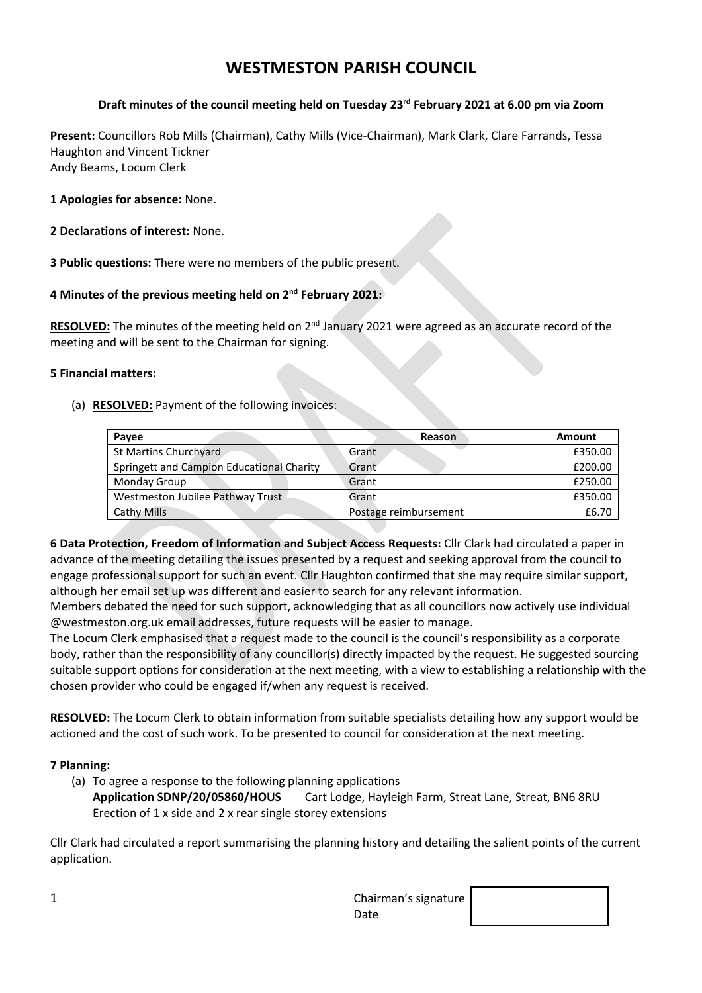# **WESTMESTON PARISH COUNCIL**

### **Draft minutes of the council meeting held on Tuesday 23rd February 2021 at 6.00 pm via Zoom**

**Present:** Councillors Rob Mills (Chairman), Cathy Mills (Vice-Chairman), Mark Clark, Clare Farrands, Tessa Haughton and Vincent Tickner Andy Beams, Locum Clerk

**1 Apologies for absence:** None.

- **2 Declarations of interest:** None.
- **3 Public questions:** There were no members of the public present.

#### **4 Minutes of the previous meeting held on 2 nd February 2021:**

RESOLVED: The minutes of the meeting held on 2<sup>nd</sup> January 2021 were agreed as an accurate record of the meeting and will be sent to the Chairman for signing.

#### **5 Financial matters:**

(a) **RESOLVED:** Payment of the following invoices:

| Payee                                     | Reason                | Amount  |
|-------------------------------------------|-----------------------|---------|
| <b>St Martins Churchyard</b>              | Grant                 | £350.00 |
| Springett and Campion Educational Charity | Grant                 | £200.00 |
| Monday Group                              | Grant                 | £250.00 |
| Westmeston Jubilee Pathway Trust          | Grant                 | £350.00 |
| Cathy Mills                               | Postage reimbursement | £6.70   |

**6 Data Protection, Freedom of Information and Subject Access Requests:** Cllr Clark had circulated a paper in advance of the meeting detailing the issues presented by a request and seeking approval from the council to engage professional support for such an event. Cllr Haughton confirmed that she may require similar support, although her email set up was different and easier to search for any relevant information.

Members debated the need for such support, acknowledging that as all councillors now actively use individual @westmeston.org.uk email addresses, future requests will be easier to manage.

The Locum Clerk emphasised that a request made to the council is the council's responsibility as a corporate body, rather than the responsibility of any councillor(s) directly impacted by the request. He suggested sourcing suitable support options for consideration at the next meeting, with a view to establishing a relationship with the chosen provider who could be engaged if/when any request is received.

**RESOLVED:** The Locum Clerk to obtain information from suitable specialists detailing how any support would be actioned and the cost of such work. To be presented to council for consideration at the next meeting.

#### **7 Planning:**

(a) To agree a response to the following planning applications **Application SDNP/20/05860/HOUS** Cart Lodge, Hayleigh Farm, Streat Lane, Streat, BN6 8RU Erection of 1 x side and 2 x rear single storey extensions

Cllr Clark had circulated a report summarising the planning history and detailing the salient points of the current application.

| л.<br>a. | Chairman's signature |  |
|----------|----------------------|--|
|          | Date                 |  |